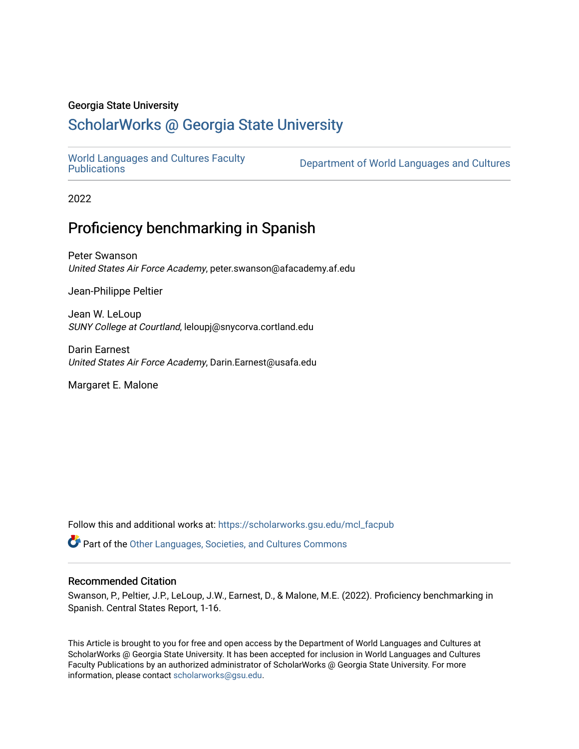# Georgia State University

# [ScholarWorks @ Georgia State University](https://scholarworks.gsu.edu/)

[World Languages and Cultures Faculty](https://scholarworks.gsu.edu/mcl_facpub)<br>Publications

Department of World Languages and Cultures

2022

# Proficiency benchmarking in Spanish

Peter Swanson United States Air Force Academy, peter.swanson@afacademy.af.edu

Jean-Philippe Peltier

Jean W. LeLoup SUNY College at Courtland, leloupj@snycorva.cortland.edu

Darin Earnest United States Air Force Academy, Darin.Earnest@usafa.edu

Margaret E. Malone

Follow this and additional works at: [https://scholarworks.gsu.edu/mcl\\_facpub](https://scholarworks.gsu.edu/mcl_facpub?utm_source=scholarworks.gsu.edu%2Fmcl_facpub%2F86&utm_medium=PDF&utm_campaign=PDFCoverPages) 

Part of the [Other Languages, Societies, and Cultures Commons](http://network.bepress.com/hgg/discipline/475?utm_source=scholarworks.gsu.edu%2Fmcl_facpub%2F86&utm_medium=PDF&utm_campaign=PDFCoverPages)

#### Recommended Citation

Swanson, P., Peltier, J.P., LeLoup, J.W., Earnest, D., & Malone, M.E. (2022). Proficiency benchmarking in Spanish. Central States Report, 1-16.

This Article is brought to you for free and open access by the Department of World Languages and Cultures at ScholarWorks @ Georgia State University. It has been accepted for inclusion in World Languages and Cultures Faculty Publications by an authorized administrator of ScholarWorks @ Georgia State University. For more information, please contact [scholarworks@gsu.edu](mailto:scholarworks@gsu.edu).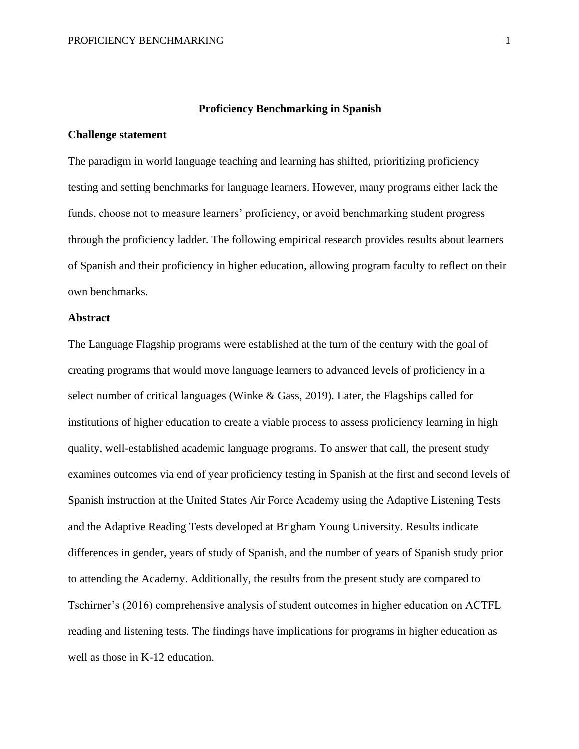# **Proficiency Benchmarking in Spanish**

# **Challenge statement**

The paradigm in world language teaching and learning has shifted, prioritizing proficiency testing and setting benchmarks for language learners. However, many programs either lack the funds, choose not to measure learners' proficiency, or avoid benchmarking student progress through the proficiency ladder. The following empirical research provides results about learners of Spanish and their proficiency in higher education, allowing program faculty to reflect on their own benchmarks.

# **Abstract**

The Language Flagship programs were established at the turn of the century with the goal of creating programs that would move language learners to advanced levels of proficiency in a select number of critical languages (Winke & Gass, 2019). Later, the Flagships called for institutions of higher education to create a viable process to assess proficiency learning in high quality, well-established academic language programs. To answer that call, the present study examines outcomes via end of year proficiency testing in Spanish at the first and second levels of Spanish instruction at the United States Air Force Academy using the Adaptive Listening Tests and the Adaptive Reading Tests developed at Brigham Young University. Results indicate differences in gender, years of study of Spanish, and the number of years of Spanish study prior to attending the Academy. Additionally, the results from the present study are compared to Tschirner's (2016) comprehensive analysis of student outcomes in higher education on ACTFL reading and listening tests. The findings have implications for programs in higher education as well as those in K-12 education.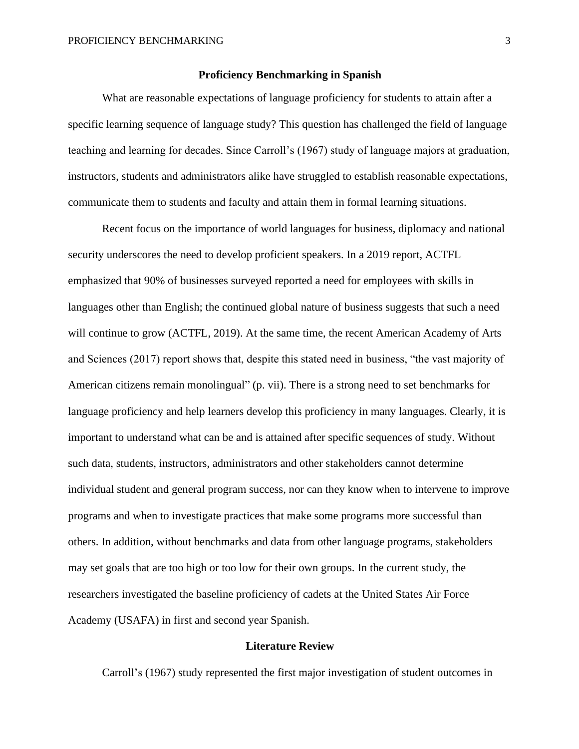# **Proficiency Benchmarking in Spanish**

What are reasonable expectations of language proficiency for students to attain after a specific learning sequence of language study? This question has challenged the field of language teaching and learning for decades. Since Carroll's (1967) study of language majors at graduation, instructors, students and administrators alike have struggled to establish reasonable expectations, communicate them to students and faculty and attain them in formal learning situations.

Recent focus on the importance of world languages for business, diplomacy and national security underscores the need to develop proficient speakers. In a 2019 report, ACTFL emphasized that 90% of businesses surveyed reported a need for employees with skills in languages other than English; the continued global nature of business suggests that such a need will continue to grow (ACTFL, 2019). At the same time, the recent American Academy of Arts and Sciences (2017) report shows that, despite this stated need in business, "the vast majority of American citizens remain monolingual" (p. vii). There is a strong need to set benchmarks for language proficiency and help learners develop this proficiency in many languages. Clearly, it is important to understand what can be and is attained after specific sequences of study. Without such data, students, instructors, administrators and other stakeholders cannot determine individual student and general program success, nor can they know when to intervene to improve programs and when to investigate practices that make some programs more successful than others. In addition, without benchmarks and data from other language programs, stakeholders may set goals that are too high or too low for their own groups. In the current study, the researchers investigated the baseline proficiency of cadets at the United States Air Force Academy (USAFA) in first and second year Spanish.

# **Literature Review**

Carroll's (1967) study represented the first major investigation of student outcomes in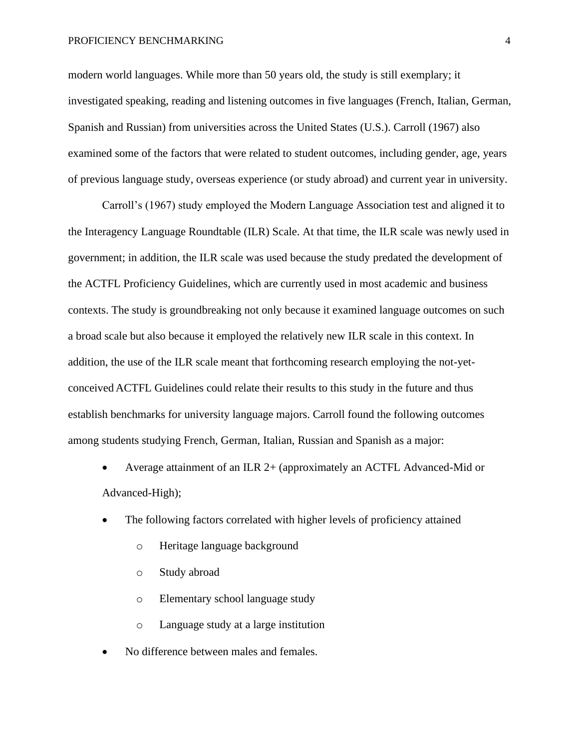#### PROFICIENCY BENCHMARKING 4

modern world languages. While more than 50 years old, the study is still exemplary; it investigated speaking, reading and listening outcomes in five languages (French, Italian, German, Spanish and Russian) from universities across the United States (U.S.). Carroll (1967) also examined some of the factors that were related to student outcomes, including gender, age, years of previous language study, overseas experience (or study abroad) and current year in university.

Carroll's (1967) study employed the Modern Language Association test and aligned it to the Interagency Language Roundtable (ILR) Scale. At that time, the ILR scale was newly used in government; in addition, the ILR scale was used because the study predated the development of the ACTFL Proficiency Guidelines, which are currently used in most academic and business contexts. The study is groundbreaking not only because it examined language outcomes on such a broad scale but also because it employed the relatively new ILR scale in this context. In addition, the use of the ILR scale meant that forthcoming research employing the not-yetconceived ACTFL Guidelines could relate their results to this study in the future and thus establish benchmarks for university language majors. Carroll found the following outcomes among students studying French, German, Italian, Russian and Spanish as a major:

- Average attainment of an ILR 2+ (approximately an ACTFL Advanced-Mid or Advanced-High);
- The following factors correlated with higher levels of proficiency attained
	- o Heritage language background
	- o Study abroad
	- o Elementary school language study
	- o Language study at a large institution
- No difference between males and females.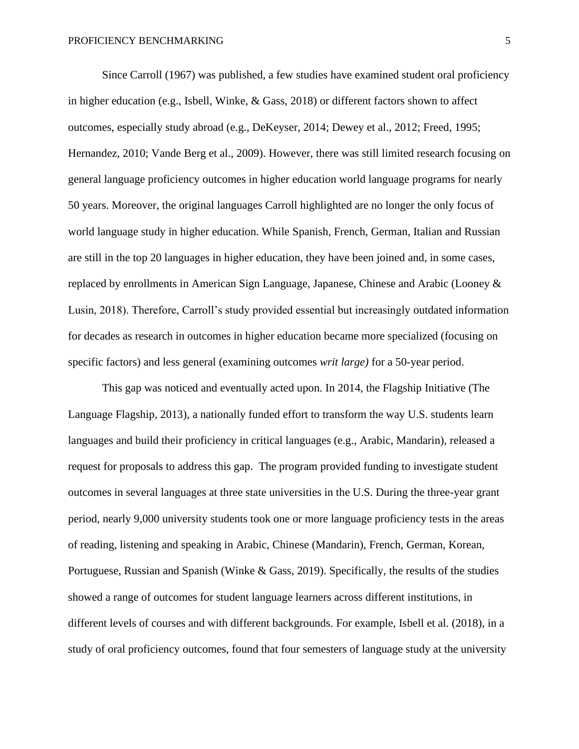Since Carroll (1967) was published, a few studies have examined student oral proficiency in higher education (e.g., Isbell, Winke, & Gass, 2018) or different factors shown to affect outcomes, especially study abroad (e.g., DeKeyser, 2014; Dewey et al., 2012; Freed, 1995; Hernandez, 2010; Vande Berg et al., 2009). However, there was still limited research focusing on general language proficiency outcomes in higher education world language programs for nearly 50 years. Moreover, the original languages Carroll highlighted are no longer the only focus of world language study in higher education. While Spanish, French, German, Italian and Russian are still in the top 20 languages in higher education, they have been joined and, in some cases, replaced by enrollments in American Sign Language, Japanese, Chinese and Arabic (Looney & Lusin, 2018). Therefore, Carroll's study provided essential but increasingly outdated information for decades as research in outcomes in higher education became more specialized (focusing on specific factors) and less general (examining outcomes *writ large)* for a 50-year period.

This gap was noticed and eventually acted upon. In 2014, the Flagship Initiative (The Language Flagship, 2013), a nationally funded effort to transform the way U.S. students learn languages and build their proficiency in critical languages (e.g., Arabic, Mandarin), released a request for proposals to address this gap. The program provided funding to investigate student outcomes in several languages at three state universities in the U.S. During the three-year grant period, nearly 9,000 university students took one or more language proficiency tests in the areas of reading, listening and speaking in Arabic, Chinese (Mandarin), French, German, Korean, Portuguese, Russian and Spanish (Winke & Gass, 2019). Specifically, the results of the studies showed a range of outcomes for student language learners across different institutions, in different levels of courses and with different backgrounds. For example, Isbell et al. (2018), in a study of oral proficiency outcomes, found that four semesters of language study at the university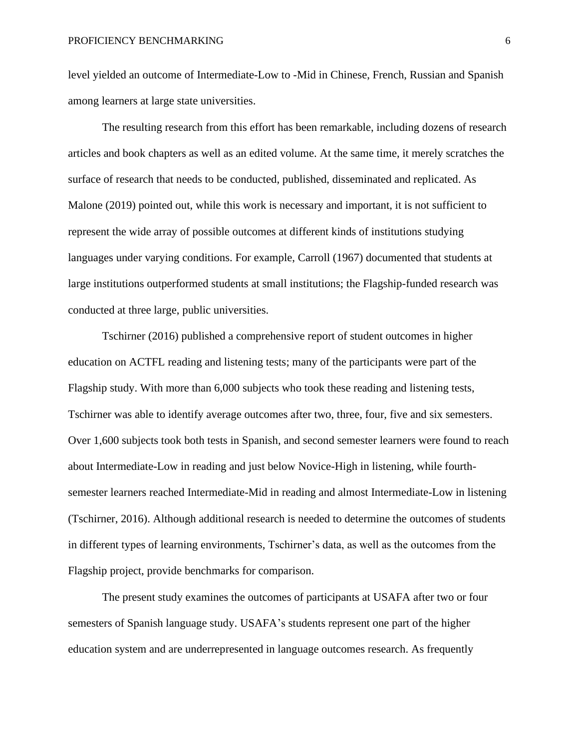level yielded an outcome of Intermediate-Low to -Mid in Chinese, French, Russian and Spanish among learners at large state universities.

The resulting research from this effort has been remarkable, including dozens of research articles and book chapters as well as an edited volume. At the same time, it merely scratches the surface of research that needs to be conducted, published, disseminated and replicated. As Malone (2019) pointed out, while this work is necessary and important, it is not sufficient to represent the wide array of possible outcomes at different kinds of institutions studying languages under varying conditions. For example, Carroll (1967) documented that students at large institutions outperformed students at small institutions; the Flagship-funded research was conducted at three large, public universities.

Tschirner (2016) published a comprehensive report of student outcomes in higher education on ACTFL reading and listening tests; many of the participants were part of the Flagship study. With more than 6,000 subjects who took these reading and listening tests, Tschirner was able to identify average outcomes after two, three, four, five and six semesters. Over 1,600 subjects took both tests in Spanish, and second semester learners were found to reach about Intermediate-Low in reading and just below Novice-High in listening, while fourthsemester learners reached Intermediate-Mid in reading and almost Intermediate-Low in listening (Tschirner, 2016). Although additional research is needed to determine the outcomes of students in different types of learning environments, Tschirner's data, as well as the outcomes from the Flagship project, provide benchmarks for comparison.

The present study examines the outcomes of participants at USAFA after two or four semesters of Spanish language study. USAFA's students represent one part of the higher education system and are underrepresented in language outcomes research. As frequently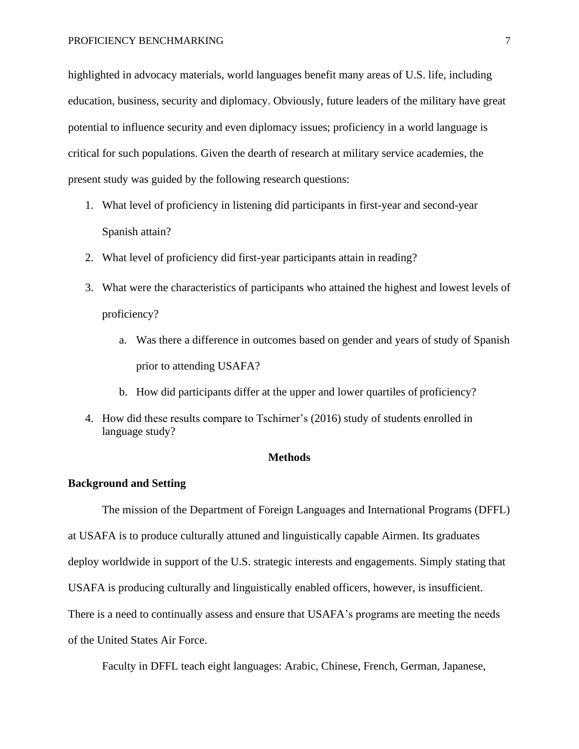highlighted in advocacy materials, world languages benefit many areas of U.S. life, including education, business, security and diplomacy. Obviously, future leaders of the military have great potential to influence security and even diplomacy issues; proficiency in a world language is critical for such populations. Given the dearth of research at military service academies, the present study was guided by the following research questions:

- 1. What level of proficiency in listening did participants in first-year and second-year Spanish attain?
- 2. What level of proficiency did first-year participants attain in reading?
- 3. What were the characteristics of participants who attained the highest and lowest levels of proficiency?
	- a. Was there a difference in outcomes based on gender and years of study of Spanish prior to attending USAFA?
	- b. How did participants differ at the upper and lower quartiles of proficiency?
- 4. How did these results compare to Tschirner's (2016) study of students enrolled in language study?

### **Methods**

# **Background and Setting**

The mission of the Department of Foreign Languages and International Programs (DFFL) at USAFA is to produce culturally attuned and linguistically capable Airmen. Its graduates deploy worldwide in support of the U.S. strategic interests and engagements. Simply stating that USAFA is producing culturally and linguistically enabled officers, however, is insufficient. There is a need to continually assess and ensure that USAFA's programs are meeting the needs of the United States Air Force.

Faculty in DFFL teach eight languages: Arabic, Chinese, French, German, Japanese,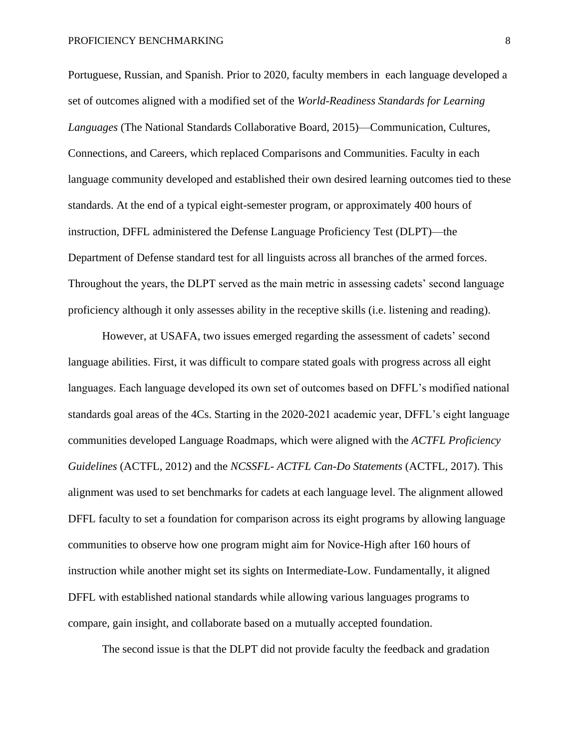Portuguese, Russian, and Spanish. Prior to 2020, faculty members in each language developed a set of outcomes aligned with a modified set of the *World-Readiness Standards for Learning Languages* (The National Standards Collaborative Board, 2015)—Communication, Cultures, Connections, and Careers, which replaced Comparisons and Communities. Faculty in each language community developed and established their own desired learning outcomes tied to these standards. At the end of a typical eight-semester program, or approximately 400 hours of instruction, DFFL administered the Defense Language Proficiency Test (DLPT)—the Department of Defense standard test for all linguists across all branches of the armed forces. Throughout the years, the DLPT served as the main metric in assessing cadets' second language proficiency although it only assesses ability in the receptive skills (i.e. listening and reading).

However, at USAFA, two issues emerged regarding the assessment of cadets' second language abilities. First, it was difficult to compare stated goals with progress across all eight languages. Each language developed its own set of outcomes based on DFFL's modified national standards goal areas of the 4Cs. Starting in the 2020-2021 academic year, DFFL's eight language communities developed Language Roadmaps, which were aligned with the *ACTFL Proficiency Guidelines* (ACTFL, 2012) and the *NCSSFL- ACTFL Can-Do Statements* (ACTFL, 2017). This alignment was used to set benchmarks for cadets at each language level. The alignment allowed DFFL faculty to set a foundation for comparison across its eight programs by allowing language communities to observe how one program might aim for Novice-High after 160 hours of instruction while another might set its sights on Intermediate-Low. Fundamentally, it aligned DFFL with established national standards while allowing various languages programs to compare, gain insight, and collaborate based on a mutually accepted foundation.

The second issue is that the DLPT did not provide faculty the feedback and gradation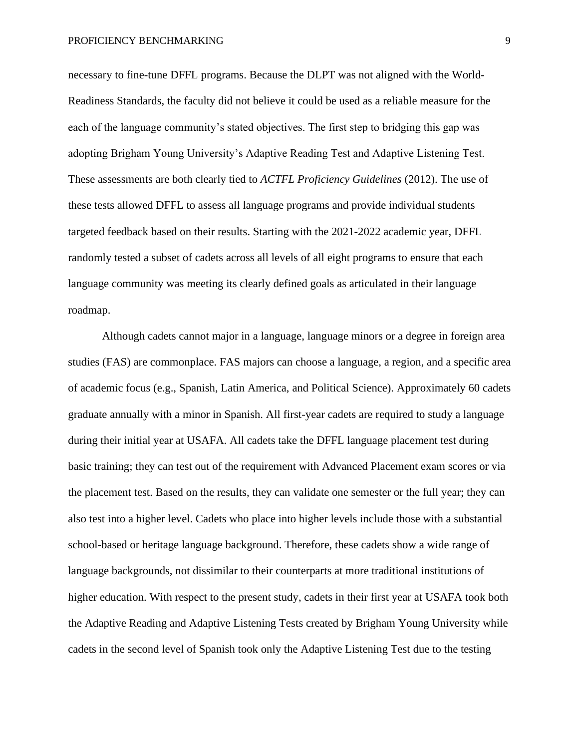necessary to fine-tune DFFL programs. Because the DLPT was not aligned with the World-Readiness Standards, the faculty did not believe it could be used as a reliable measure for the each of the language community's stated objectives. The first step to bridging this gap was adopting Brigham Young University's Adaptive Reading Test and Adaptive Listening Test. These assessments are both clearly tied to *ACTFL Proficiency Guidelines* (2012). The use of these tests allowed DFFL to assess all language programs and provide individual students targeted feedback based on their results. Starting with the 2021-2022 academic year, DFFL randomly tested a subset of cadets across all levels of all eight programs to ensure that each language community was meeting its clearly defined goals as articulated in their language roadmap.

Although cadets cannot major in a language, language minors or a degree in foreign area studies (FAS) are commonplace. FAS majors can choose a language, a region, and a specific area of academic focus (e.g., Spanish, Latin America, and Political Science). Approximately 60 cadets graduate annually with a minor in Spanish. All first-year cadets are required to study a language during their initial year at USAFA. All cadets take the DFFL language placement test during basic training; they can test out of the requirement with Advanced Placement exam scores or via the placement test. Based on the results, they can validate one semester or the full year; they can also test into a higher level. Cadets who place into higher levels include those with a substantial school-based or heritage language background. Therefore, these cadets show a wide range of language backgrounds, not dissimilar to their counterparts at more traditional institutions of higher education. With respect to the present study, cadets in their first year at USAFA took both the Adaptive Reading and Adaptive Listening Tests created by Brigham Young University while cadets in the second level of Spanish took only the Adaptive Listening Test due to the testing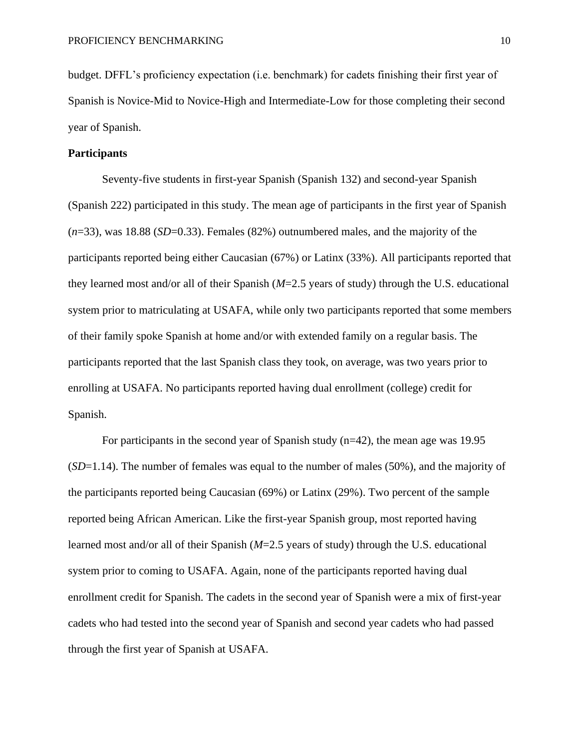budget. DFFL's proficiency expectation (i.e. benchmark) for cadets finishing their first year of Spanish is Novice-Mid to Novice-High and Intermediate-Low for those completing their second year of Spanish.

# **Participants**

Seventy-five students in first-year Spanish (Spanish 132) and second-year Spanish (Spanish 222) participated in this study. The mean age of participants in the first year of Spanish (*n*=33), was 18.88 (*SD*=0.33). Females (82%) outnumbered males, and the majority of the participants reported being either Caucasian (67%) or Latinx (33%). All participants reported that they learned most and/or all of their Spanish (*M*=2.5 years of study) through the U.S. educational system prior to matriculating at USAFA, while only two participants reported that some members of their family spoke Spanish at home and/or with extended family on a regular basis. The participants reported that the last Spanish class they took, on average, was two years prior to enrolling at USAFA. No participants reported having dual enrollment (college) credit for Spanish.

For participants in the second year of Spanish study (n=42), the mean age was 19.95 (*SD*=1.14). The number of females was equal to the number of males (50%), and the majority of the participants reported being Caucasian (69%) or Latinx (29%). Two percent of the sample reported being African American. Like the first-year Spanish group, most reported having learned most and/or all of their Spanish (*M*=2.5 years of study) through the U.S. educational system prior to coming to USAFA. Again, none of the participants reported having dual enrollment credit for Spanish. The cadets in the second year of Spanish were a mix of first-year cadets who had tested into the second year of Spanish and second year cadets who had passed through the first year of Spanish at USAFA.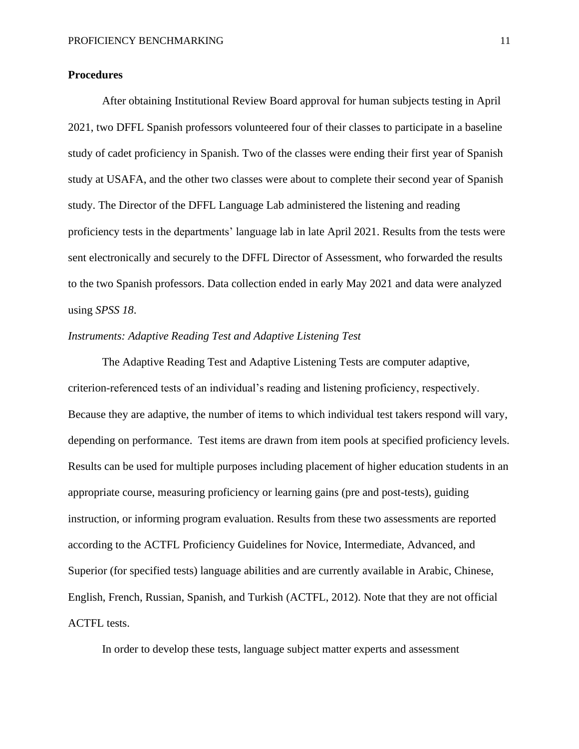# **Procedures**

After obtaining Institutional Review Board approval for human subjects testing in April 2021, two DFFL Spanish professors volunteered four of their classes to participate in a baseline study of cadet proficiency in Spanish. Two of the classes were ending their first year of Spanish study at USAFA, and the other two classes were about to complete their second year of Spanish study. The Director of the DFFL Language Lab administered the listening and reading proficiency tests in the departments' language lab in late April 2021. Results from the tests were sent electronically and securely to the DFFL Director of Assessment, who forwarded the results to the two Spanish professors. Data collection ended in early May 2021 and data were analyzed using *SPSS 18*.

# *Instruments: Adaptive Reading Test and Adaptive Listening Test*

The Adaptive Reading Test and Adaptive Listening Tests are computer adaptive, criterion-referenced tests of an individual's reading and listening proficiency, respectively. Because they are adaptive, the number of items to which individual test takers respond will vary, depending on performance. Test items are drawn from item pools at specified proficiency levels. Results can be used for multiple purposes including placement of higher education students in an appropriate course, measuring proficiency or learning gains (pre and post-tests), guiding instruction, or informing program evaluation. Results from these two assessments are reported according to the ACTFL Proficiency Guidelines for Novice, Intermediate, Advanced, and Superior (for specified tests) language abilities and are currently available in Arabic, Chinese, English, French, Russian, Spanish, and Turkish (ACTFL, 2012). Note that they are not official ACTFL tests.

In order to develop these tests, language subject matter experts and assessment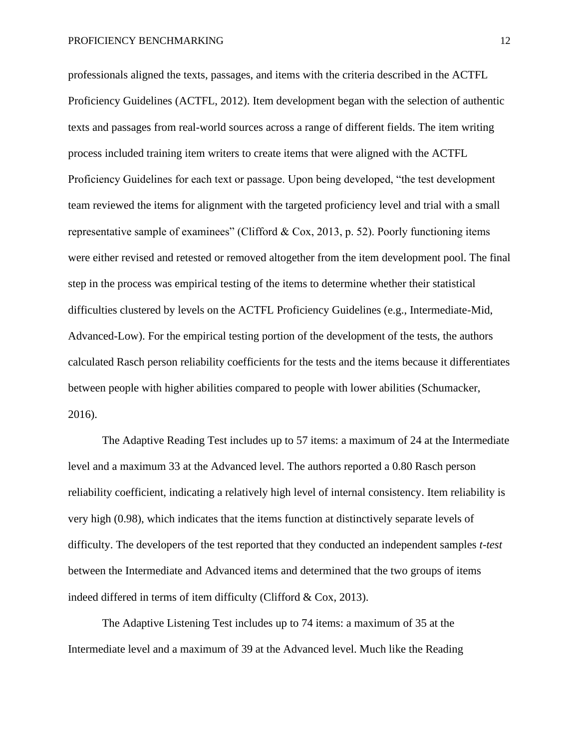professionals aligned the texts, passages, and items with the criteria described in the ACTFL Proficiency Guidelines (ACTFL, 2012). Item development began with the selection of authentic texts and passages from real-world sources across a range of different fields. The item writing process included training item writers to create items that were aligned with the ACTFL Proficiency Guidelines for each text or passage. Upon being developed, "the test development team reviewed the items for alignment with the targeted proficiency level and trial with a small representative sample of examinees" (Clifford & Cox, 2013, p. 52). Poorly functioning items were either revised and retested or removed altogether from the item development pool. The final step in the process was empirical testing of the items to determine whether their statistical difficulties clustered by levels on the ACTFL Proficiency Guidelines (e.g., Intermediate-Mid, Advanced-Low). For the empirical testing portion of the development of the tests, the authors calculated Rasch person reliability coefficients for the tests and the items because it differentiates between people with higher abilities compared to people with lower abilities (Schumacker, 2016).

The Adaptive Reading Test includes up to 57 items: a maximum of 24 at the Intermediate level and a maximum 33 at the Advanced level. The authors reported a 0.80 Rasch person reliability coefficient, indicating a relatively high level of internal consistency. Item reliability is very high (0.98), which indicates that the items function at distinctively separate levels of difficulty. The developers of the test reported that they conducted an independent samples *t-test*  between the Intermediate and Advanced items and determined that the two groups of items indeed differed in terms of item difficulty (Clifford & Cox, 2013).

The Adaptive Listening Test includes up to 74 items: a maximum of 35 at the Intermediate level and a maximum of 39 at the Advanced level. Much like the Reading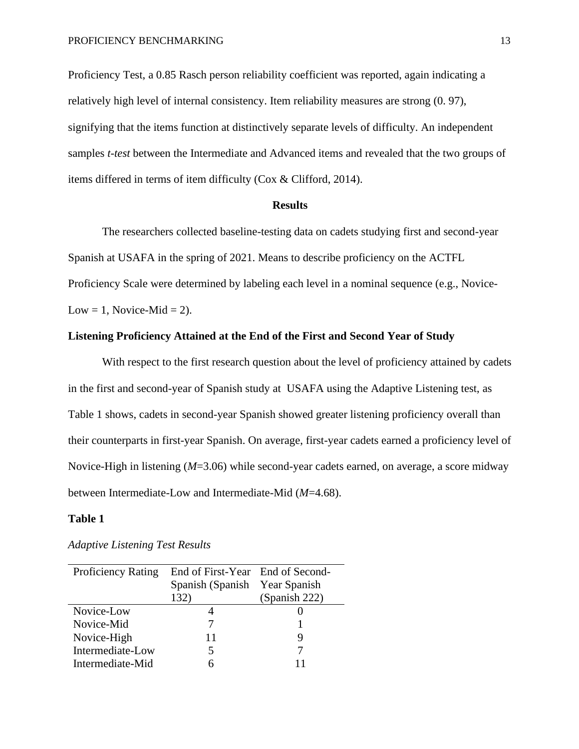Proficiency Test, a 0.85 Rasch person reliability coefficient was reported, again indicating a relatively high level of internal consistency. Item reliability measures are strong (0. 97), signifying that the items function at distinctively separate levels of difficulty. An independent samples *t-test* between the Intermediate and Advanced items and revealed that the two groups of items differed in terms of item difficulty (Cox & Clifford, 2014).

#### **Results**

The researchers collected baseline-testing data on cadets studying first and second-year Spanish at USAFA in the spring of 2021. Means to describe proficiency on the ACTFL Proficiency Scale were determined by labeling each level in a nominal sequence (e.g., Novice-Low = 1, Novice-Mid = 2).

## **Listening Proficiency Attained at the End of the First and Second Year of Study**

With respect to the first research question about the level of proficiency attained by cadets in the first and second-year of Spanish study at USAFA using the Adaptive Listening test, as Table 1 shows, cadets in second-year Spanish showed greater listening proficiency overall than their counterparts in first-year Spanish. On average, first-year cadets earned a proficiency level of Novice-High in listening (*M*=3.06) while second-year cadets earned, on average, a score midway between Intermediate-Low and Intermediate-Mid (*M*=4.68).

# **Table 1**

| <b>Proficiency Rating</b> | End of First-Year End of Second- |               |  |
|---------------------------|----------------------------------|---------------|--|
|                           | Spanish (Spanish Year Spanish)   |               |  |
|                           | 132)                             | (Spanish 222) |  |
| Novice-Low                |                                  |               |  |
| Novice-Mid                |                                  |               |  |
| Novice-High               | 11                               |               |  |
| Intermediate-Low          |                                  |               |  |
| Intermediate-Mid          |                                  |               |  |

#### *Adaptive Listening Test Results*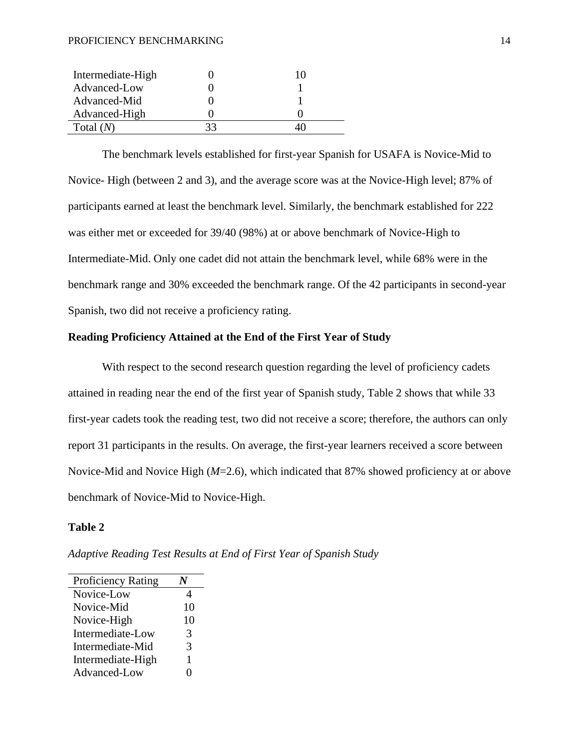#### PROFICIENCY BENCHMARKING 14

| Intermediate-High | 10 |
|-------------------|----|
| Advanced-Low      |    |
| Advanced-Mid      |    |
| Advanced-High     |    |
| Total $(N)$       |    |

The benchmark levels established for first-year Spanish for USAFA is Novice-Mid to Novice- High (between 2 and 3), and the average score was at the Novice-High level; 87% of participants earned at least the benchmark level. Similarly, the benchmark established for 222 was either met or exceeded for 39/40 (98%) at or above benchmark of Novice-High to Intermediate-Mid. Only one cadet did not attain the benchmark level, while 68% were in the benchmark range and 30% exceeded the benchmark range. Of the 42 participants in second-year Spanish, two did not receive a proficiency rating.

# **Reading Proficiency Attained at the End of the First Year of Study**

With respect to the second research question regarding the level of proficiency cadets attained in reading near the end of the first year of Spanish study, Table 2 shows that while 33 first-year cadets took the reading test, two did not receive a score; therefore, the authors can only report 31 participants in the results. On average, the first-year learners received a score between Novice-Mid and Novice High (*M*=2.6), which indicated that 87% showed proficiency at or above benchmark of Novice-Mid to Novice-High.

# **Table 2**

| <b>Proficiency Rating</b> |    |
|---------------------------|----|
| Novice-Low                | 4  |
| Novice-Mid                | 10 |
| Novice-High               | 10 |
| Intermediate-Low          | 3  |
| Intermediate-Mid          | 3  |
| Intermediate-High         | 1  |
| Advanced-Low              | 0  |
|                           |    |

*Adaptive Reading Test Results at End of First Year of Spanish Study*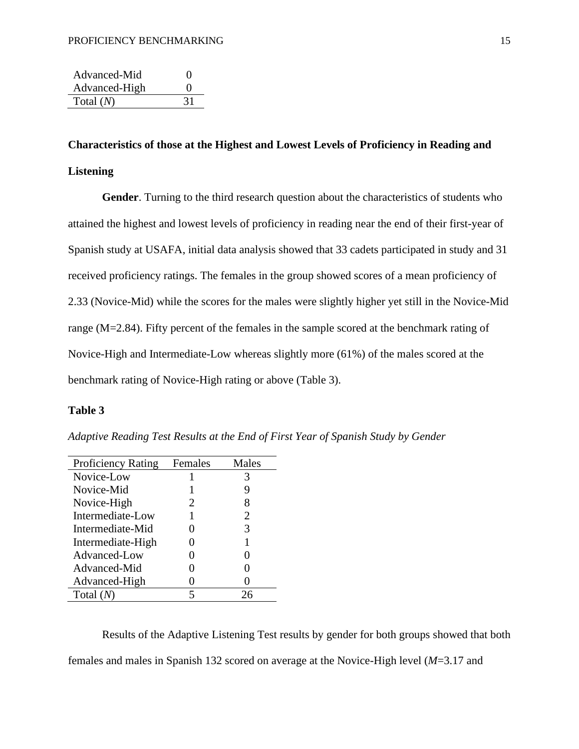| Advanced-Mid  | $\mathbf{\Omega}$ |
|---------------|-------------------|
| Advanced-High | $\mathbf{\Omega}$ |
| Total $(N)$   |                   |

# **Characteristics of those at the Highest and Lowest Levels of Proficiency in Reading and Listening**

**Gender**. Turning to the third research question about the characteristics of students who attained the highest and lowest levels of proficiency in reading near the end of their first-year of Spanish study at USAFA, initial data analysis showed that 33 cadets participated in study and 31 received proficiency ratings. The females in the group showed scores of a mean proficiency of 2.33 (Novice-Mid) while the scores for the males were slightly higher yet still in the Novice-Mid range (M=2.84). Fifty percent of the females in the sample scored at the benchmark rating of Novice-High and Intermediate-Low whereas slightly more (61%) of the males scored at the benchmark rating of Novice-High rating or above (Table 3).

# **Table 3**

*Adaptive Reading Test Results at the End of First Year of Spanish Study by Gender*

| <b>Proficiency Rating</b> | Females | Males |
|---------------------------|---------|-------|
| Novice-Low                |         | 3     |
| Novice-Mid                |         | 9     |
| Novice-High               | 2       | 8     |
| Intermediate-Low          |         | 2     |
| Intermediate-Mid          |         | 3     |
| Intermediate-High         |         |       |
| Advanced-Low              |         |       |
| Advanced-Mid              |         | 0     |
| Advanced-High             |         |       |
| Total $(N)$               | 5       | 76    |

Results of the Adaptive Listening Test results by gender for both groups showed that both females and males in Spanish 132 scored on average at the Novice-High level (*M*=3.17 and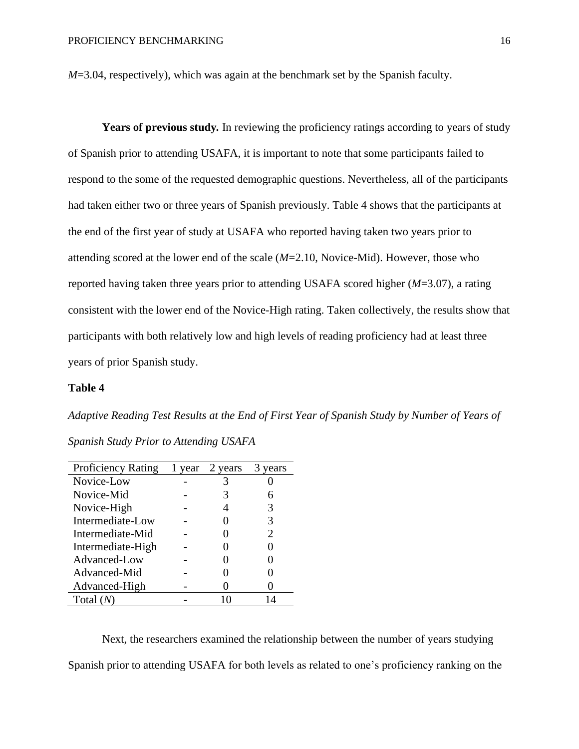*M*=3.04, respectively), which was again at the benchmark set by the Spanish faculty.

Years of previous study. In reviewing the proficiency ratings according to years of study of Spanish prior to attending USAFA, it is important to note that some participants failed to respond to the some of the requested demographic questions. Nevertheless, all of the participants had taken either two or three years of Spanish previously. Table 4 shows that the participants at the end of the first year of study at USAFA who reported having taken two years prior to attending scored at the lower end of the scale (*M*=2.10, Novice-Mid). However, those who reported having taken three years prior to attending USAFA scored higher (*M*=3.07), a rating consistent with the lower end of the Novice-High rating. Taken collectively, the results show that participants with both relatively low and high levels of reading proficiency had at least three years of prior Spanish study.

## **Table 4**

*Adaptive Reading Test Results at the End of First Year of Spanish Study by Number of Years of* 

*Spanish Study Prior to Attending USAFA*

| <b>Proficiency Rating</b> | 1 year | 2 years | vears                 |
|---------------------------|--------|---------|-----------------------|
| Novice-Low                |        |         |                       |
| Novice-Mid                |        |         |                       |
| Novice-High               |        |         |                       |
| Intermediate-Low          |        |         | 3                     |
| Intermediate-Mid          |        |         | $\mathcal{D}_{\cdot}$ |
| Intermediate-High         |        |         |                       |
| Advanced-Low              |        |         |                       |
| Advanced-Mid              |        |         |                       |
| Advanced-High             |        |         |                       |
| Total (                   |        |         | 14                    |

Next, the researchers examined the relationship between the number of years studying Spanish prior to attending USAFA for both levels as related to one's proficiency ranking on the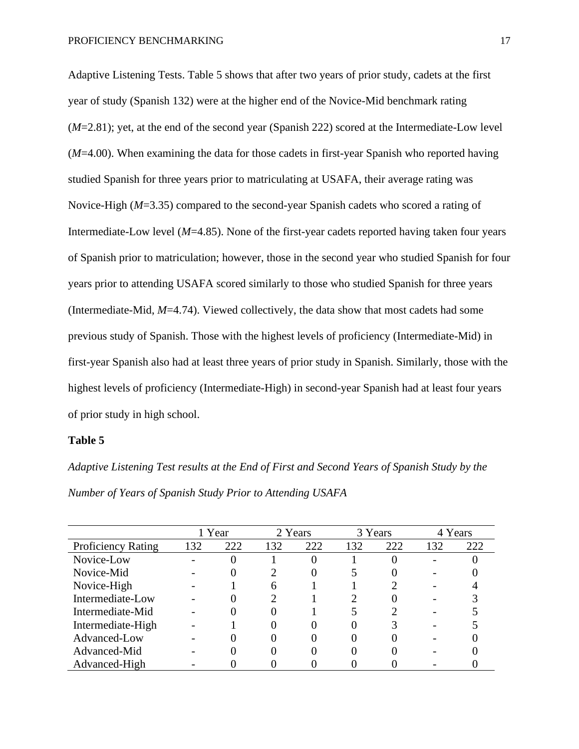Adaptive Listening Tests. Table 5 shows that after two years of prior study, cadets at the first year of study (Spanish 132) were at the higher end of the Novice-Mid benchmark rating (*M*=2.81); yet, at the end of the second year (Spanish 222) scored at the Intermediate-Low level (*M*=4.00). When examining the data for those cadets in first-year Spanish who reported having studied Spanish for three years prior to matriculating at USAFA, their average rating was Novice-High (*M*=3.35) compared to the second-year Spanish cadets who scored a rating of Intermediate-Low level (*M*=4.85). None of the first-year cadets reported having taken four years of Spanish prior to matriculation; however, those in the second year who studied Spanish for four years prior to attending USAFA scored similarly to those who studied Spanish for three years (Intermediate-Mid, *M*=4.74). Viewed collectively, the data show that most cadets had some previous study of Spanish. Those with the highest levels of proficiency (Intermediate-Mid) in first-year Spanish also had at least three years of prior study in Spanish. Similarly, those with the highest levels of proficiency (Intermediate-High) in second-year Spanish had at least four years of prior study in high school.

#### **Table 5**

*Adaptive Listening Test results at the End of First and Second Years of Spanish Study by the Number of Years of Spanish Study Prior to Attending USAFA*

|                           |     | 1 Year |     | 2 Years |     | 3 Years | 4 Years |     |
|---------------------------|-----|--------|-----|---------|-----|---------|---------|-----|
| <b>Proficiency Rating</b> | 132 | 222    | 132 | 222     | 132 | 222     | 132     | 222 |
| Novice-Low                |     |        |     |         |     |         |         |     |
| Novice-Mid                |     |        |     |         |     |         |         |     |
| Novice-High               |     |        | რ   |         |     |         |         |     |
| Intermediate-Low          |     |        |     |         |     |         |         |     |
| Intermediate-Mid          |     |        |     |         |     |         |         |     |
| Intermediate-High         |     |        |     |         |     |         |         |     |
| Advanced-Low              |     |        |     |         |     |         |         |     |
| Advanced-Mid              |     |        |     |         |     |         |         |     |
| Advanced-High             |     |        |     |         |     |         |         |     |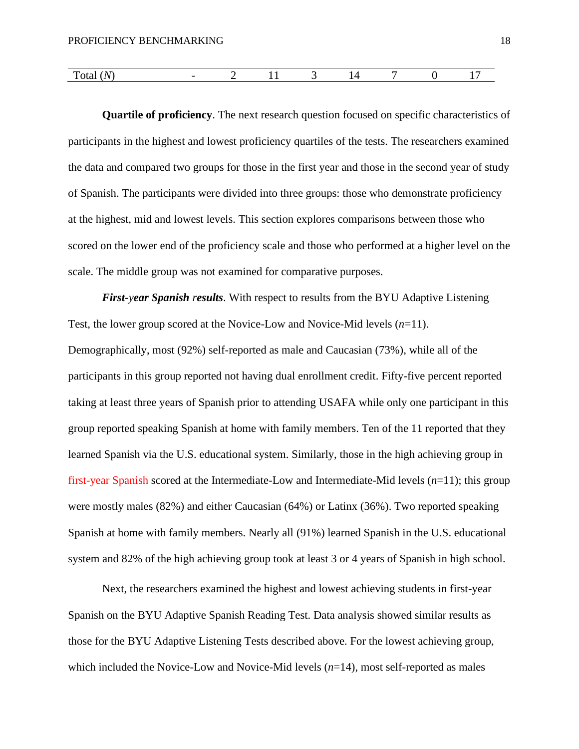| m<br>$\mathbf{v}$<br>1 Otal<br>$\mathbf{v}$ | -- |  |  |  |
|---------------------------------------------|----|--|--|--|

**Quartile of proficiency**. The next research question focused on specific characteristics of participants in the highest and lowest proficiency quartiles of the tests. The researchers examined the data and compared two groups for those in the first year and those in the second year of study of Spanish. The participants were divided into three groups: those who demonstrate proficiency at the highest, mid and lowest levels. This section explores comparisons between those who scored on the lower end of the proficiency scale and those who performed at a higher level on the scale. The middle group was not examined for comparative purposes.

*First-year Spanish results*. With respect to results from the BYU Adaptive Listening Test, the lower group scored at the Novice-Low and Novice-Mid levels (*n*=11).

Demographically, most (92%) self-reported as male and Caucasian (73%), while all of the participants in this group reported not having dual enrollment credit. Fifty-five percent reported taking at least three years of Spanish prior to attending USAFA while only one participant in this group reported speaking Spanish at home with family members. Ten of the 11 reported that they learned Spanish via the U.S. educational system. Similarly, those in the high achieving group in first-year Spanish scored at the Intermediate-Low and Intermediate-Mid levels (*n*=11); this group were mostly males (82%) and either Caucasian (64%) or Latinx (36%). Two reported speaking Spanish at home with family members. Nearly all (91%) learned Spanish in the U.S. educational system and 82% of the high achieving group took at least 3 or 4 years of Spanish in high school.

Next, the researchers examined the highest and lowest achieving students in first-year Spanish on the BYU Adaptive Spanish Reading Test. Data analysis showed similar results as those for the BYU Adaptive Listening Tests described above. For the lowest achieving group, which included the Novice-Low and Novice-Mid levels (*n*=14), most self-reported as males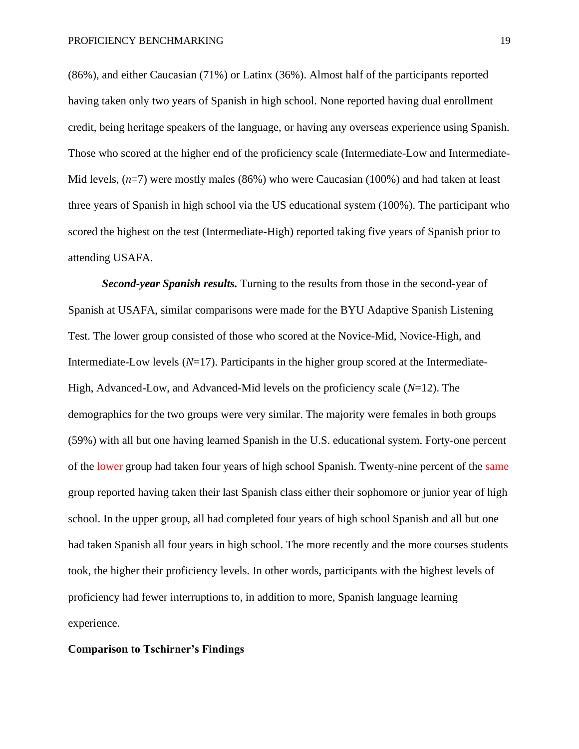(86%), and either Caucasian (71%) or Latinx (36%). Almost half of the participants reported having taken only two years of Spanish in high school. None reported having dual enrollment credit, being heritage speakers of the language, or having any overseas experience using Spanish. Those who scored at the higher end of the proficiency scale (Intermediate-Low and Intermediate-Mid levels, (*n*=7) were mostly males (86%) who were Caucasian (100%) and had taken at least three years of Spanish in high school via the US educational system (100%). The participant who scored the highest on the test (Intermediate-High) reported taking five years of Spanish prior to attending USAFA.

*Second-year Spanish results.* Turning to the results from those in the second-year of Spanish at USAFA, similar comparisons were made for the BYU Adaptive Spanish Listening Test. The lower group consisted of those who scored at the Novice-Mid, Novice-High, and Intermediate-Low levels (*N*=17). Participants in the higher group scored at the Intermediate-High, Advanced-Low, and Advanced-Mid levels on the proficiency scale (*N*=12). The demographics for the two groups were very similar. The majority were females in both groups (59%) with all but one having learned Spanish in the U.S. educational system. Forty-one percent of the lower group had taken four years of high school Spanish. Twenty-nine percent of the same group reported having taken their last Spanish class either their sophomore or junior year of high school. In the upper group, all had completed four years of high school Spanish and all but one had taken Spanish all four years in high school. The more recently and the more courses students took, the higher their proficiency levels. In other words, participants with the highest levels of proficiency had fewer interruptions to, in addition to more, Spanish language learning experience.

# **Comparison to Tschirner's Findings**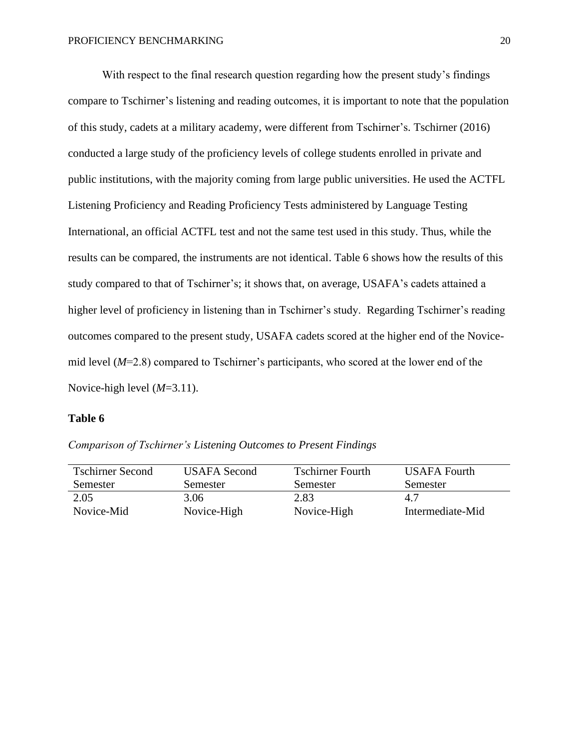With respect to the final research question regarding how the present study's findings compare to Tschirner's listening and reading outcomes, it is important to note that the population of this study, cadets at a military academy, were different from Tschirner's. Tschirner (2016) conducted a large study of the proficiency levels of college students enrolled in private and public institutions, with the majority coming from large public universities. He used the ACTFL Listening Proficiency and Reading Proficiency Tests administered by Language Testing International, an official ACTFL test and not the same test used in this study. Thus, while the results can be compared, the instruments are not identical. Table 6 shows how the results of this study compared to that of Tschirner's; it shows that, on average, USAFA's cadets attained a higher level of proficiency in listening than in Tschirner's study. Regarding Tschirner's reading outcomes compared to the present study, USAFA cadets scored at the higher end of the Novicemid level (*M*=2.8) compared to Tschirner's participants, who scored at the lower end of the Novice-high level (*M*=3.11).

# **Table 6**

*Comparison of Tschirner's Listening Outcomes to Present Findings*

| <b>Tschirner Second</b> | USAFA Second | <b>Tschirner Fourth</b> | USAFA Fourth     |
|-------------------------|--------------|-------------------------|------------------|
| Semester                | Semester     | Semester                | Semester         |
| 2.05                    | 3.06         | 2.83                    | 4.7              |
| Novice-Mid              | Novice-High  | Novice-High             | Intermediate-Mid |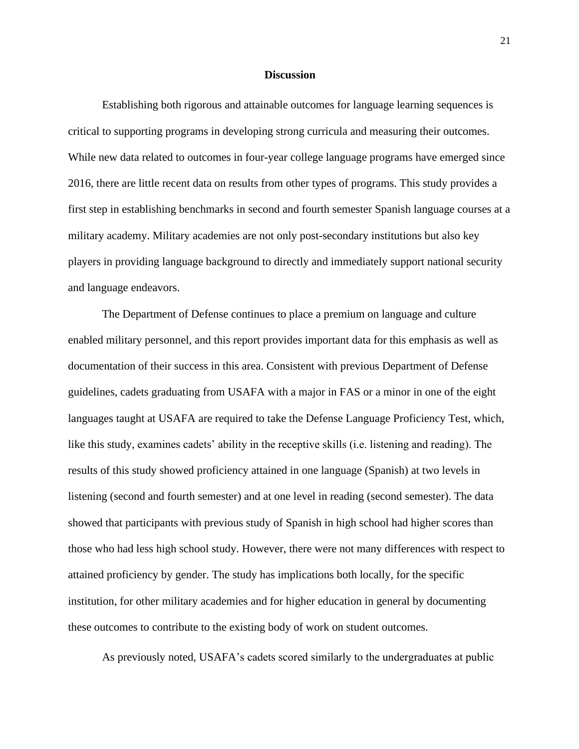#### **Discussion**

Establishing both rigorous and attainable outcomes for language learning sequences is critical to supporting programs in developing strong curricula and measuring their outcomes. While new data related to outcomes in four-year college language programs have emerged since 2016, there are little recent data on results from other types of programs. This study provides a first step in establishing benchmarks in second and fourth semester Spanish language courses at a military academy. Military academies are not only post-secondary institutions but also key players in providing language background to directly and immediately support national security and language endeavors.

The Department of Defense continues to place a premium on language and culture enabled military personnel, and this report provides important data for this emphasis as well as documentation of their success in this area. Consistent with previous Department of Defense guidelines, cadets graduating from USAFA with a major in FAS or a minor in one of the eight languages taught at USAFA are required to take the Defense Language Proficiency Test, which, like this study, examines cadets' ability in the receptive skills (i.e. listening and reading). The results of this study showed proficiency attained in one language (Spanish) at two levels in listening (second and fourth semester) and at one level in reading (second semester). The data showed that participants with previous study of Spanish in high school had higher scores than those who had less high school study. However, there were not many differences with respect to attained proficiency by gender. The study has implications both locally, for the specific institution, for other military academies and for higher education in general by documenting these outcomes to contribute to the existing body of work on student outcomes.

As previously noted, USAFA's cadets scored similarly to the undergraduates at public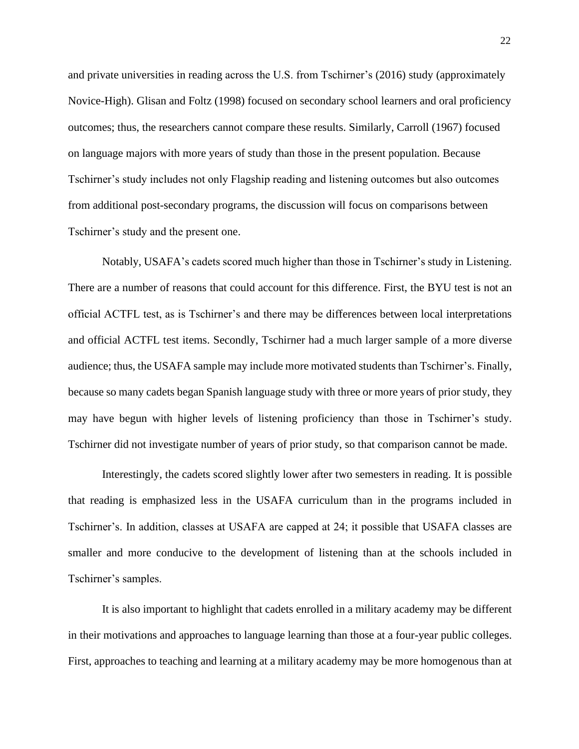and private universities in reading across the U.S. from Tschirner's (2016) study (approximately Novice-High). Glisan and Foltz (1998) focused on secondary school learners and oral proficiency outcomes; thus, the researchers cannot compare these results. Similarly, Carroll (1967) focused on language majors with more years of study than those in the present population. Because Tschirner's study includes not only Flagship reading and listening outcomes but also outcomes from additional post-secondary programs, the discussion will focus on comparisons between Tschirner's study and the present one.

Notably, USAFA's cadets scored much higher than those in Tschirner's study in Listening. There are a number of reasons that could account for this difference. First, the BYU test is not an official ACTFL test, as is Tschirner's and there may be differences between local interpretations and official ACTFL test items. Secondly, Tschirner had a much larger sample of a more diverse audience; thus, the USAFA sample may include more motivated students than Tschirner's. Finally, because so many cadets began Spanish language study with three or more years of prior study, they may have begun with higher levels of listening proficiency than those in Tschirner's study. Tschirner did not investigate number of years of prior study, so that comparison cannot be made.

Interestingly, the cadets scored slightly lower after two semesters in reading. It is possible that reading is emphasized less in the USAFA curriculum than in the programs included in Tschirner's. In addition, classes at USAFA are capped at 24; it possible that USAFA classes are smaller and more conducive to the development of listening than at the schools included in Tschirner's samples.

It is also important to highlight that cadets enrolled in a military academy may be different in their motivations and approaches to language learning than those at a four-year public colleges. First, approaches to teaching and learning at a military academy may be more homogenous than at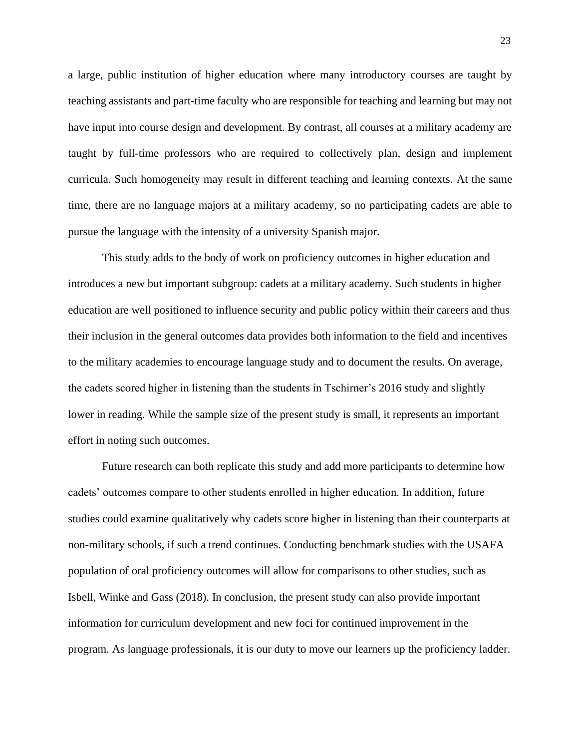a large, public institution of higher education where many introductory courses are taught by teaching assistants and part-time faculty who are responsible for teaching and learning but may not have input into course design and development. By contrast, all courses at a military academy are taught by full-time professors who are required to collectively plan, design and implement curricula. Such homogeneity may result in different teaching and learning contexts. At the same time, there are no language majors at a military academy, so no participating cadets are able to pursue the language with the intensity of a university Spanish major.

This study adds to the body of work on proficiency outcomes in higher education and introduces a new but important subgroup: cadets at a military academy. Such students in higher education are well positioned to influence security and public policy within their careers and thus their inclusion in the general outcomes data provides both information to the field and incentives to the military academies to encourage language study and to document the results. On average, the cadets scored higher in listening than the students in Tschirner's 2016 study and slightly lower in reading. While the sample size of the present study is small, it represents an important effort in noting such outcomes.

Future research can both replicate this study and add more participants to determine how cadets' outcomes compare to other students enrolled in higher education. In addition, future studies could examine qualitatively why cadets score higher in listening than their counterparts at non-military schools, if such a trend continues. Conducting benchmark studies with the USAFA population of oral proficiency outcomes will allow for comparisons to other studies, such as Isbell, Winke and Gass (2018). In conclusion, the present study can also provide important information for curriculum development and new foci for continued improvement in the program. As language professionals, it is our duty to move our learners up the proficiency ladder.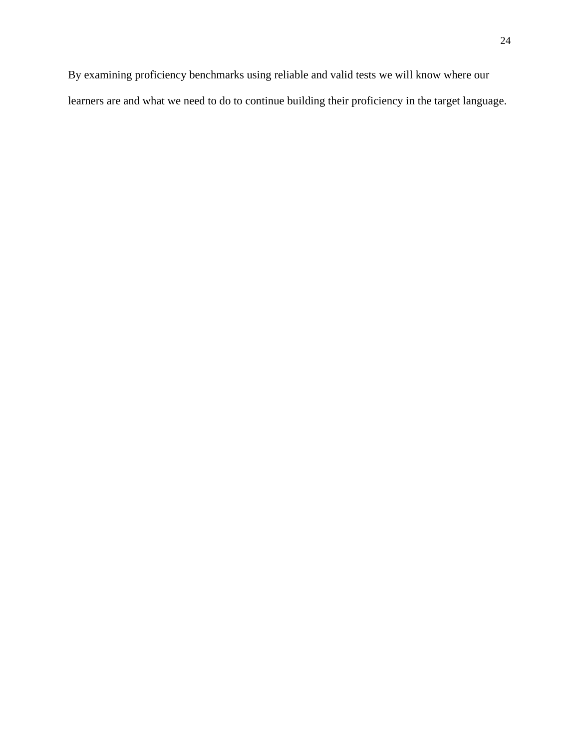By examining proficiency benchmarks using reliable and valid tests we will know where our learners are and what we need to do to continue building their proficiency in the target language.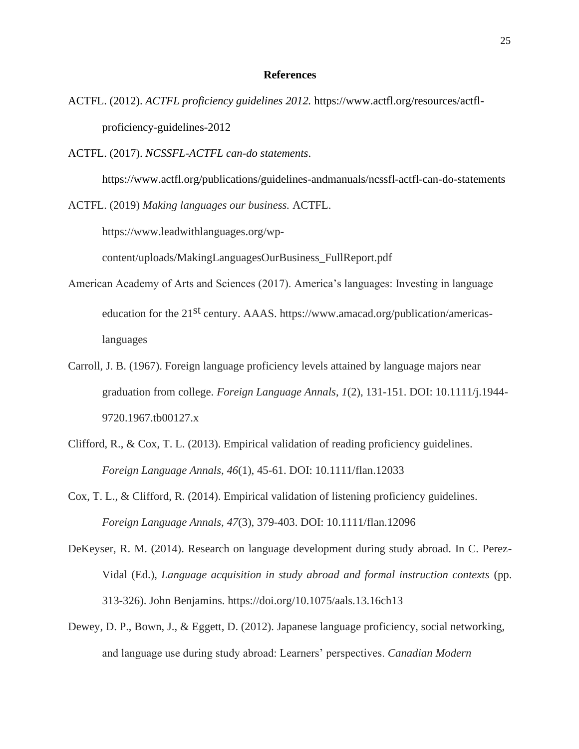# **References**

- ACTFL. (2012). *ACTFL proficiency guidelines 2012.* h[ttps://www.actfl.org/resources/actfl](http://www.actfl.org/resources/actfl-)proficiency-guidelines-2012
- ACTFL. (2017). *NCSSFL-ACTFL can-do statements*.

h[ttps://www.actfl.org/publications/guidelines-andmanuals/ncssfl-actfl-can-do-statements](http://www.actfl.org/publications/guidelines-andmanuals/ncssfl-actfl-can-do-statements)

ACTFL. (2019) *Making languages our business.* ACTFL.

https://www.leadwithlanguages.org/wp-

content/uploads/MakingLanguagesOurBusiness\_FullReport.pdf

- American Academy of Arts and Sciences (2017). America's languages: Investing in language education for the 21<sup>st</sup> century. AAAS. https://www.amacad.org/publication/americaslanguages
- Carroll, J. B. (1967). Foreign language proficiency levels attained by language majors near graduation from college. *Foreign Language Annals*, *1*(2), 131-151. DOI: 10.1111/j.1944- 9720.1967.tb00127.x
- Clifford, R., & Cox, T. L. (2013). Empirical validation of reading proficiency guidelines. *Foreign Language Annals, 46*(1), 45-61. DOI: 10.1111/flan.12033
- Cox, T. L., & Clifford, R. (2014). Empirical validation of listening proficiency guidelines. *Foreign Language Annals, 47*(3), 379-403. DOI: 10.1111/flan.12096
- DeKeyser, R. M. (2014). Research on language development during study abroad. In C. Perez-Vidal (Ed.), *Language acquisition in study abroad and formal instruction contexts* (pp. 313-326). John Benjamins. https://doi.org/10.1075/aals.13.16ch13
- Dewey, D. P., Bown, J., & Eggett, D. (2012). Japanese language proficiency, social networking, and language use during study abroad: Learners' perspectives. *Canadian Modern*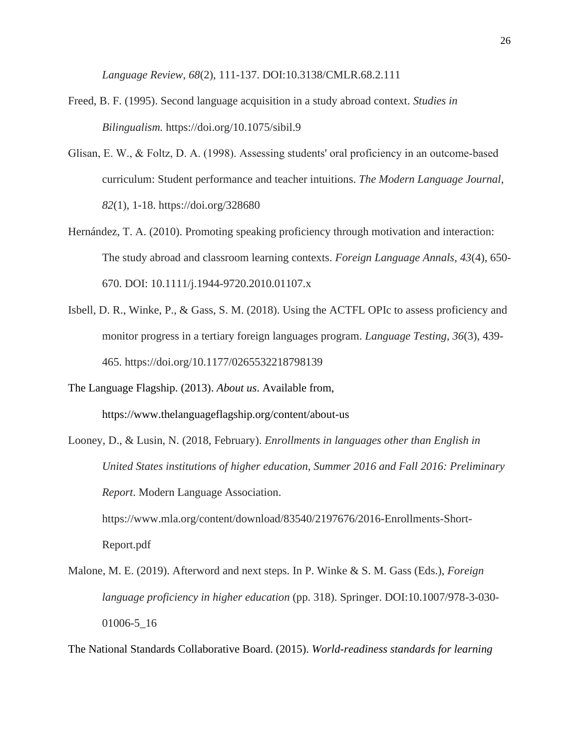*Language Review*, *68*(2), 111-137. DOI:10.3138/CMLR.68.2.111

- Freed, B. F. (1995). Second language acquisition in a study abroad context. *Studies in Bilingualism.* https://doi.org/10.1075/sibil.9
- Glisan, E. W., & Foltz, D. A. (1998). Assessing students' oral proficiency in an outcome‐based curriculum: Student performance and teacher intuitions. *The Modern Language Journal*, *82*(1), 1-18. https://doi.org/328680
- Hernández, T. A. (2010). Promoting speaking proficiency through motivation and interaction: The study abroad and classroom learning contexts. *Foreign Language Annals*, *43*(4), 650- 670. DOI: 10.1111/j.1944-9720.2010.01107.x
- Isbell, D. R., Winke, P., & Gass, S. M. (2018). Using the ACTFL OPIc to assess proficiency and monitor progress in a tertiary foreign languages program. *Language Testing*, *36*(3), 439- 465. https://doi.org/10.1177/0265532218798139
- The Language Flagship. (2013). *About us*. Available from, h[ttps://www.thelanguageflagship.org/content/about-us](http://www.thelanguageflagship.org/content/about-us)
- Looney, D., & Lusin, N. (2018, February). *Enrollments in languages other than English in United States institutions of higher education, Summer 2016 and Fall 2016: Preliminary Report*. Modern Language Association. https://www.mla.org/content/download/83540/2197676/2016-Enrollments-Short-

Report.pdf

Malone, M. E. (2019). Afterword and next steps. In P. Winke & S. M. Gass (Eds.), *Foreign language proficiency in higher education* (pp. 318). Springer. DOI:10.1007/978-3-030- 01006-5\_16

The National Standards Collaborative Board. (2015). *World-readiness standards for learning*